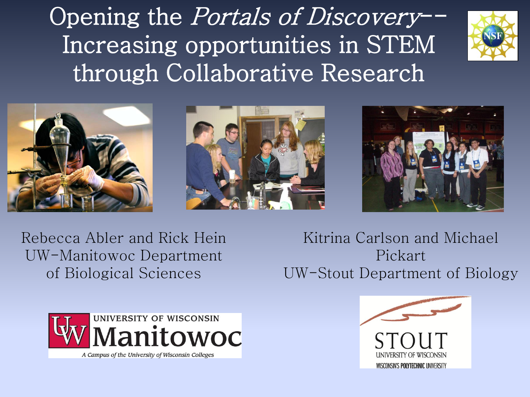Opening the *Portals of Discovery*--Increasing opportunities in STEM through Collaborative Research









Rebecca Abler and Rick Hein UW-Manitowoc Department of Biological Sciences

Kitrina Carlson and Michael Pickart UW-Stout Department of Biology



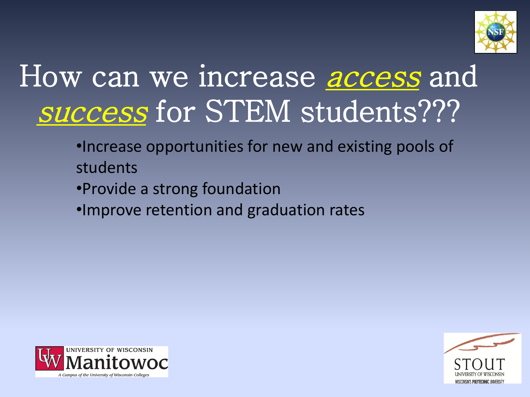

# How can we increase *access* and success for STEM students???

- •Increase opportunities for new and existing pools of students
- •Provide a strong foundation
- •Improve retention and graduation rates



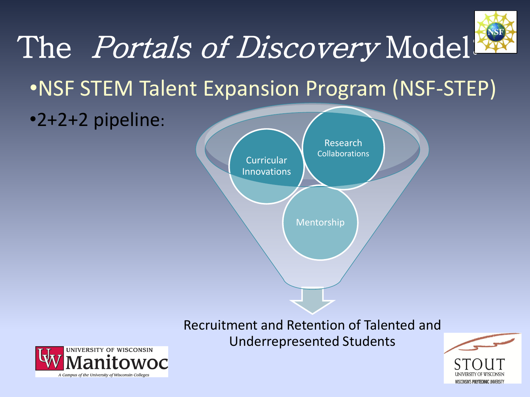

**Curricular** Innovations

Recruitment and Retention of Talented and Underrepresented Students

Mentorship

Collaborations



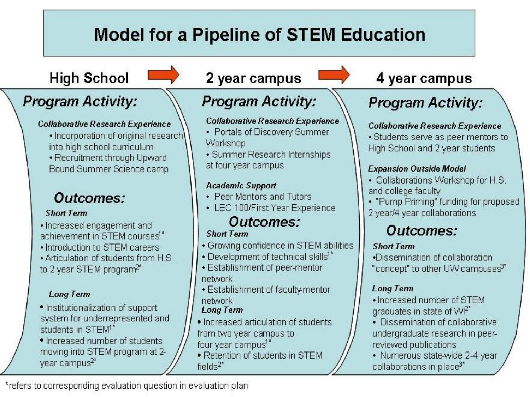## **Model for a Pipeline of STEM Education**

### **High School**

### **Program Activity:**

#### Collaborative Research Experience

- · Incorporation of original research into high school curriculum
- Recruitment through Upward Bound Summer Science camp

### Outcomes:

#### **Short Term**

• Increased engagement and achievement in STEM courses<sup>1\*</sup>

- Introduction to STEM careers
- . Articulation of students from H.S. to 2 year STEM program<sup>2\*</sup>

#### **Long Term**

- · Institutionalization of support system for underrepresented and students in STEM<sup>1\*</sup>
- . Increased number of students moving into STEM program at 2year campus<sup>2\*</sup>

### 2 year campus

### **Program Activity:**

#### **Collaborative Research Experience**

- Portals of Discovery Summer Workshop
- Summer Research Internships at four year campus

#### **Academic Support**

- Peer Mentors and Tutors
- LEC 100/First Year Experience

## Outcomes:

#### **Short Term**

- Growing confidence in STEM abilities
- Development of technical skills<sup>1\*</sup>
- Establishment of peer-mentor network
- Establishment of faculty-mentor network

#### **Long Term**

- · Increased articulation of students from two year campus to four year campus<sup>1\*</sup>
- · Retention of students in STEM fields $2^*$

### 4 year campus

## **Program Activity:**

#### **Collaborative Research Experience**

• Students serve as peer mentors to High School and 2 year students

#### **Expansion Outside Model**

- Collaborations Workshop for H.S. and college faculty
- "Pump Priming" funding for proposed
- 2 year/4 year collaborations

### Outcomes:

#### **Short Term**

.Dissemination of collaboration "concept" to other UW campuses<sup>3\*</sup>

#### **Long Term**

- Increased number of STEM araduates in state of WI<sup>2\*</sup>
- Dissemination of collaborative undergraduate research in peerreviewed publications
- Numerous state-wide 2-4 year collaborations in place<sup>3\*</sup>

\*refers to corresponding evaluation question in evaluation plan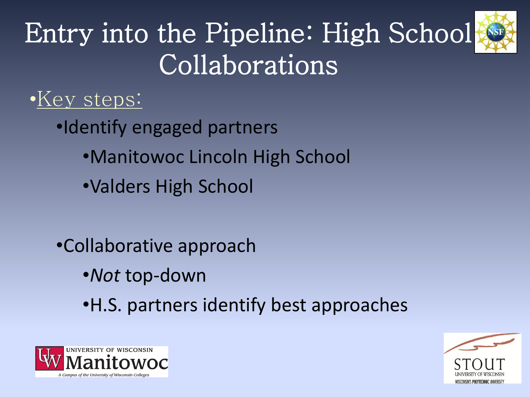

# Entry into the Pipeline: High School Collaborations

## •Key steps:

- •Identify engaged partners
	- •Manitowoc Lincoln High School
	- •Valders High School
- •Collaborative approach
	- •*Not* top-down
	- •H.S. partners identify best approaches



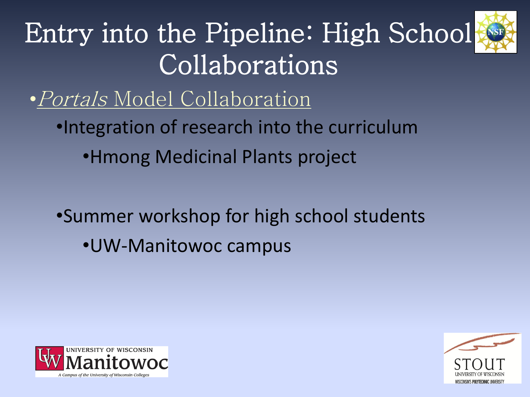

# Entry into the Pipeline: High School Collaborations

•Portals Model Collaboration

•Integration of research into the curriculum

•Hmong Medicinal Plants project

•Summer workshop for high school students •UW-Manitowoc campus



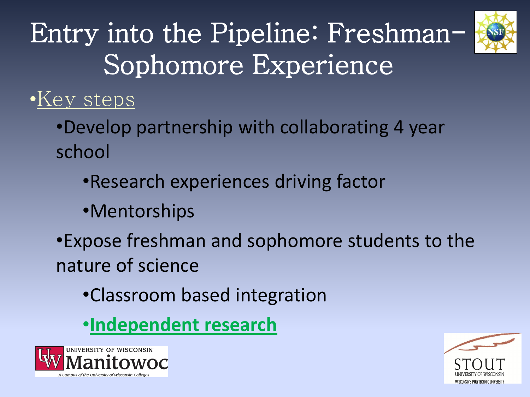

# Entry into the Pipeline: Freshman-Sophomore Experience

## •Key steps

- •Develop partnership with collaborating 4 year school
	- •Research experiences driving factor
	- •Mentorships
- •Expose freshman and sophomore students to the nature of science
	- •Classroom based integration
	- •**Independent research**



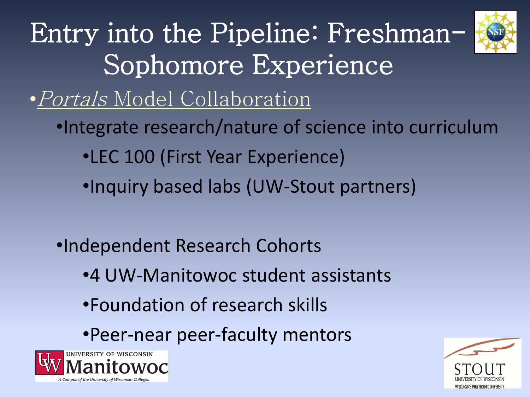

Entry into the Pipeline: Freshman-Sophomore Experience

•Portals Model Collaboration

- •Integrate research/nature of science into curriculum
	- •LEC 100 (First Year Experience)
	- •Inquiry based labs (UW-Stout partners)
- •Independent Research Cohorts
	- •4 UW-Manitowoc student assistants
	- •Foundation of research skills
	- •Peer-near peer-faculty mentors



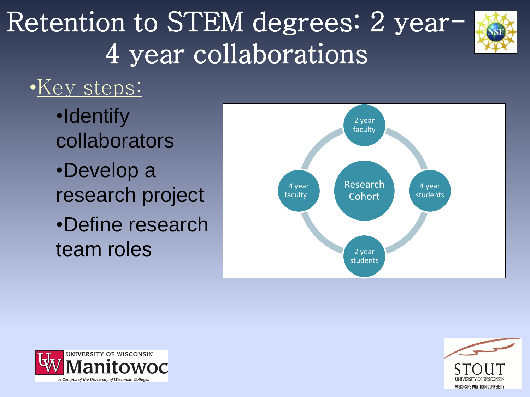# Retention to STEM degrees: 2 year-4 year collaborations



## •Key steps:

- •Identify collaborators
- •Develop a research project •Define research team roles





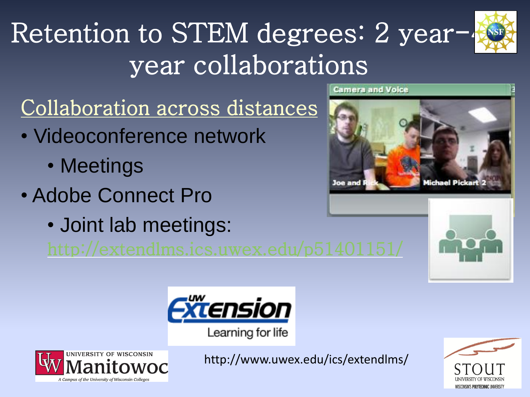# Retention to STEM degrees: 2 year-4 year collaborations



Collaboration across distances

- Videoconference network
	- Meetings
- Adobe Connect Pro
	- Joint lab meetings:



amera and Voice

Joe and



Learning for life



http://www.uwex.edu/ics/extendlms/

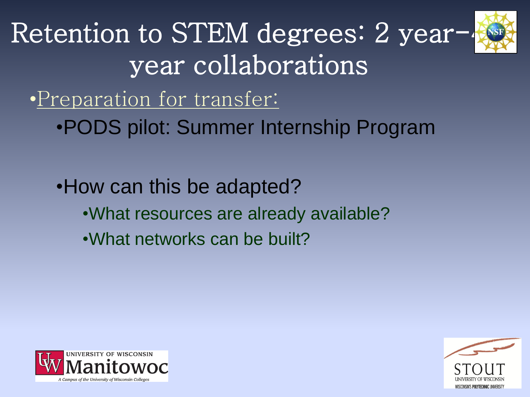

Retention to STEM degrees: 2 yearyear collaborations

•Preparation for transfer:

•PODS pilot: Summer Internship Program

•How can this be adapted? •What resources are already available? •What networks can be built?